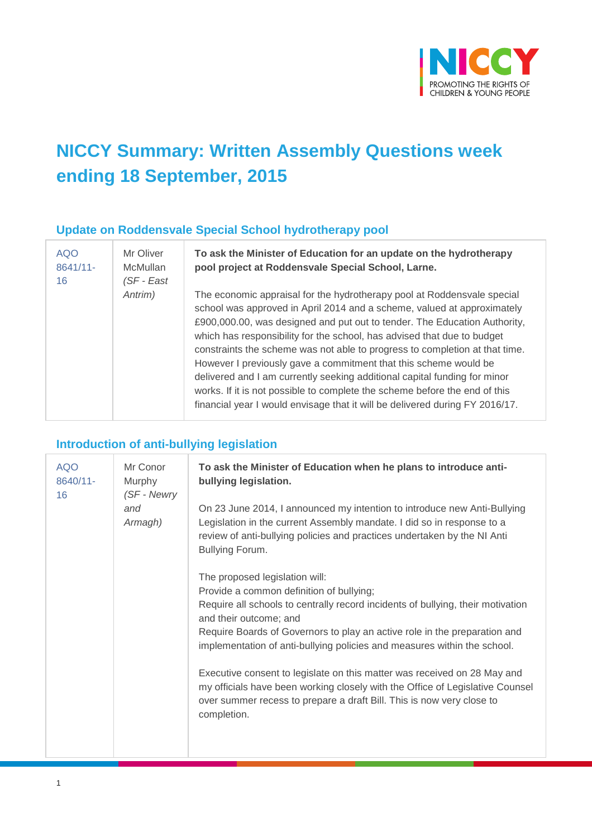

# **NICCY Summary: Written Assembly Questions week ending 18 September, 2015**

#### **Update on Roddensvale Special School hydrotherapy pool**

| <b>AQO</b> | Mr Oliver  |
|------------|------------|
| 8641/11-   | McMullan   |
| 16         | (SF - East |
|            | Antrim)    |
|            |            |
|            |            |
|            |            |
|            |            |
|            |            |
|            |            |
|            |            |
|            |            |

**To ask the Minister of Education for an update on the hydrotherapy pool project at Roddensvale Special School, Larne.**

The economic appraisal for the hydrotherapy pool at Roddensvale special school was approved in April 2014 and a scheme, valued at approximately £900,000.00, was designed and put out to tender. The Education Authority, which has responsibility for the school, has advised that due to budget constraints the scheme was not able to progress to completion at that time. However I previously gave a commitment that this scheme would be delivered and I am currently seeking additional capital funding for minor works. If it is not possible to complete the scheme before the end of this financial year I would envisage that it will be delivered during FY 2016/17.

#### **Introduction of anti-bullying legislation**

| <b>AQO</b><br>8640/11-<br>16 | Mr Conor<br>Murphy<br>(SF - Newry | To ask the Minister of Education when he plans to introduce anti-<br>bullying legislation.                                                                                                                                                        |
|------------------------------|-----------------------------------|---------------------------------------------------------------------------------------------------------------------------------------------------------------------------------------------------------------------------------------------------|
|                              | and<br>Armagh)                    | On 23 June 2014, I announced my intention to introduce new Anti-Bullying<br>Legislation in the current Assembly mandate. I did so in response to a<br>review of anti-bullying policies and practices undertaken by the NI Anti<br>Bullying Forum. |
|                              |                                   | The proposed legislation will:                                                                                                                                                                                                                    |
|                              |                                   | Provide a common definition of bullying;                                                                                                                                                                                                          |
|                              |                                   | Require all schools to centrally record incidents of bullying, their motivation<br>and their outcome; and                                                                                                                                         |
|                              |                                   | Require Boards of Governors to play an active role in the preparation and<br>implementation of anti-bullying policies and measures within the school.                                                                                             |
|                              |                                   | Executive consent to legislate on this matter was received on 28 May and<br>my officials have been working closely with the Office of Legislative Counsel<br>over summer recess to prepare a draft Bill. This is now very close to<br>completion. |
|                              |                                   |                                                                                                                                                                                                                                                   |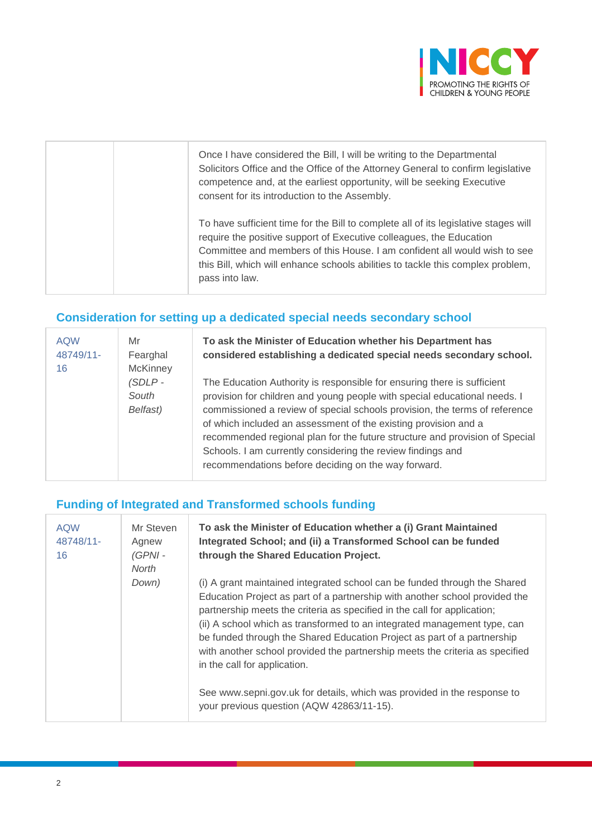

|  | Once I have considered the Bill, I will be writing to the Departmental<br>Solicitors Office and the Office of the Attorney General to confirm legislative<br>competence and, at the earliest opportunity, will be seeking Executive<br>consent for its introduction to the Assembly.                                                         |
|--|----------------------------------------------------------------------------------------------------------------------------------------------------------------------------------------------------------------------------------------------------------------------------------------------------------------------------------------------|
|  | To have sufficient time for the Bill to complete all of its legislative stages will<br>require the positive support of Executive colleagues, the Education<br>Committee and members of this House. I am confident all would wish to see<br>this Bill, which will enhance schools abilities to tackle this complex problem,<br>pass into law. |

## **Consideration for setting up a dedicated special needs secondary school**

| <b>AQW</b><br>48749/11-<br>16 | Mr<br>Fearghal<br><b>McKinney</b> | To ask the Minister of Education whether his Department has<br>considered establishing a dedicated special needs secondary school.                                                                                                                                                                                                                                                                                                                                                                         |
|-------------------------------|-----------------------------------|------------------------------------------------------------------------------------------------------------------------------------------------------------------------------------------------------------------------------------------------------------------------------------------------------------------------------------------------------------------------------------------------------------------------------------------------------------------------------------------------------------|
|                               | (SDLP-<br>South<br>Belfast)       | The Education Authority is responsible for ensuring there is sufficient<br>provision for children and young people with special educational needs. I<br>commissioned a review of special schools provision, the terms of reference<br>of which included an assessment of the existing provision and a<br>recommended regional plan for the future structure and provision of Special<br>Schools. I am currently considering the review findings and<br>recommendations before deciding on the way forward. |

## **Funding of Integrated and Transformed schools funding**

| <b>AQW</b><br>48748/11-<br>16 | Mr Steven<br>Agnew<br>$(GPNI -$<br>North | To ask the Minister of Education whether a (i) Grant Maintained<br>Integrated School; and (ii) a Transformed School can be funded<br>through the Shared Education Project.                                                                                                                                                                                                                                                                                                                                  |
|-------------------------------|------------------------------------------|-------------------------------------------------------------------------------------------------------------------------------------------------------------------------------------------------------------------------------------------------------------------------------------------------------------------------------------------------------------------------------------------------------------------------------------------------------------------------------------------------------------|
|                               | Down)                                    | (i) A grant maintained integrated school can be funded through the Shared<br>Education Project as part of a partnership with another school provided the<br>partnership meets the criteria as specified in the call for application;<br>(ii) A school which as transformed to an integrated management type, can<br>be funded through the Shared Education Project as part of a partnership<br>with another school provided the partnership meets the criteria as specified<br>in the call for application. |
|                               |                                          | See www.sepni.gov.uk for details, which was provided in the response to<br>your previous question (AQW 42863/11-15).                                                                                                                                                                                                                                                                                                                                                                                        |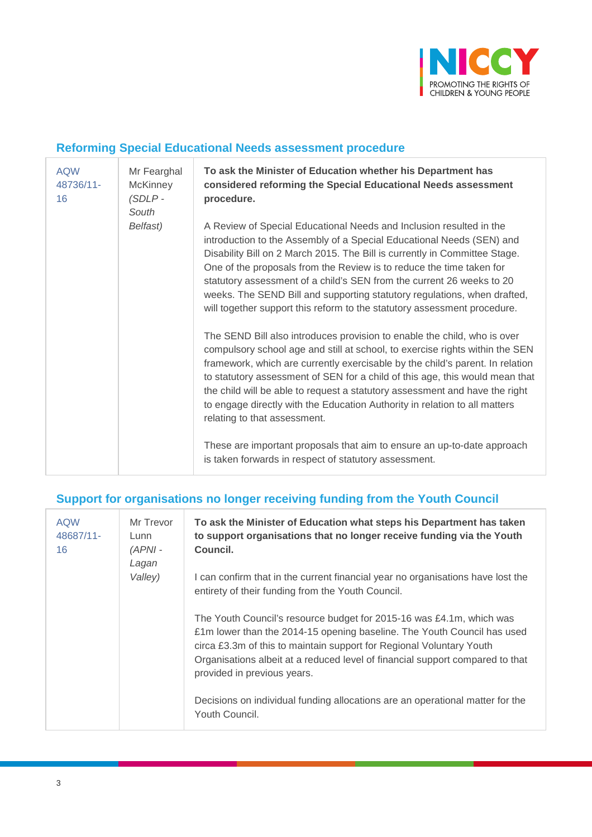

#### **Reforming Special Educational Needs assessment procedure**

| <b>AQW</b><br>48736/11-<br>16 | Mr Fearghal<br><b>McKinney</b><br>$(SDLP -$<br>South | To ask the Minister of Education whether his Department has<br>considered reforming the Special Educational Needs assessment<br>procedure.                                                                                                                                                                                                                                                                                                                                                                                          |
|-------------------------------|------------------------------------------------------|-------------------------------------------------------------------------------------------------------------------------------------------------------------------------------------------------------------------------------------------------------------------------------------------------------------------------------------------------------------------------------------------------------------------------------------------------------------------------------------------------------------------------------------|
|                               | Belfast)                                             | A Review of Special Educational Needs and Inclusion resulted in the<br>introduction to the Assembly of a Special Educational Needs (SEN) and<br>Disability Bill on 2 March 2015. The Bill is currently in Committee Stage.<br>One of the proposals from the Review is to reduce the time taken for<br>statutory assessment of a child's SEN from the current 26 weeks to 20<br>weeks. The SEND Bill and supporting statutory regulations, when drafted,<br>will together support this reform to the statutory assessment procedure. |
|                               |                                                      | The SEND Bill also introduces provision to enable the child, who is over<br>compulsory school age and still at school, to exercise rights within the SEN<br>framework, which are currently exercisable by the child's parent. In relation<br>to statutory assessment of SEN for a child of this age, this would mean that<br>the child will be able to request a statutory assessment and have the right<br>to engage directly with the Education Authority in relation to all matters<br>relating to that assessment.              |
|                               |                                                      | These are important proposals that aim to ensure an up-to-date approach<br>is taken forwards in respect of statutory assessment.                                                                                                                                                                                                                                                                                                                                                                                                    |

## **Support for organisations no longer receiving funding from the Youth Council**

| <b>AQW</b><br>48687/11-<br>16 | Mr Trevor<br>Lunn<br>$(APNI -$<br>Lagan<br>Valley) | To ask the Minister of Education what steps his Department has taken<br>to support organisations that no longer receive funding via the Youth<br>Council.<br>I can confirm that in the current financial year no organisations have lost the<br>entirety of their funding from the Youth Council.                                       |
|-------------------------------|----------------------------------------------------|-----------------------------------------------------------------------------------------------------------------------------------------------------------------------------------------------------------------------------------------------------------------------------------------------------------------------------------------|
|                               |                                                    | The Youth Council's resource budget for 2015-16 was £4.1m, which was<br>£1m lower than the 2014-15 opening baseline. The Youth Council has used<br>circa £3.3m of this to maintain support for Regional Voluntary Youth<br>Organisations albeit at a reduced level of financial support compared to that<br>provided in previous years. |
|                               |                                                    | Decisions on individual funding allocations are an operational matter for the<br>Youth Council.                                                                                                                                                                                                                                         |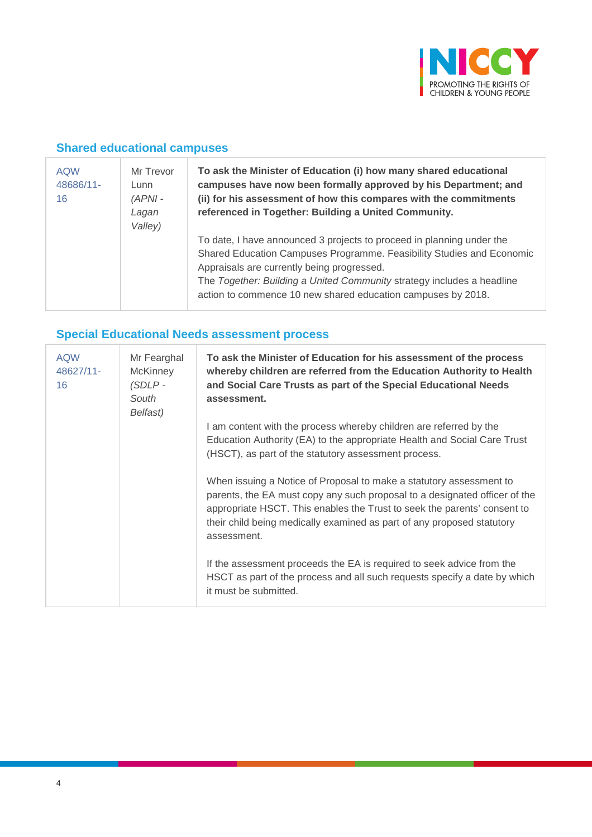

## **Shared educational campuses**

| <b>AQW</b><br>48686/11-<br>16 | Mr Trevor<br>Lunn<br>$(APNI -$<br>Lagan<br>Valley) | To ask the Minister of Education (i) how many shared educational<br>campuses have now been formally approved by his Department; and<br>(ii) for his assessment of how this compares with the commitments<br>referenced in Together: Building a United Community.                                                                       |
|-------------------------------|----------------------------------------------------|----------------------------------------------------------------------------------------------------------------------------------------------------------------------------------------------------------------------------------------------------------------------------------------------------------------------------------------|
|                               |                                                    | To date, I have announced 3 projects to proceed in planning under the<br>Shared Education Campuses Programme. Feasibility Studies and Economic<br>Appraisals are currently being progressed.<br>The Together: Building a United Community strategy includes a headline<br>action to commence 10 new shared education campuses by 2018. |

# **Special Educational Needs assessment process**

| <b>AQW</b><br>48627/11-<br>16 | Mr Fearghal<br><b>McKinney</b><br>(SDLP -<br>South<br>Belfast) | To ask the Minister of Education for his assessment of the process<br>whereby children are referred from the Education Authority to Health<br>and Social Care Trusts as part of the Special Educational Needs<br>assessment.                                                                                           |
|-------------------------------|----------------------------------------------------------------|------------------------------------------------------------------------------------------------------------------------------------------------------------------------------------------------------------------------------------------------------------------------------------------------------------------------|
|                               |                                                                | I am content with the process whereby children are referred by the<br>Education Authority (EA) to the appropriate Health and Social Care Trust<br>(HSCT), as part of the statutory assessment process.                                                                                                                 |
|                               |                                                                | When issuing a Notice of Proposal to make a statutory assessment to<br>parents, the EA must copy any such proposal to a designated officer of the<br>appropriate HSCT. This enables the Trust to seek the parents' consent to<br>their child being medically examined as part of any proposed statutory<br>assessment. |
|                               |                                                                | If the assessment proceeds the EA is required to seek advice from the<br>HSCT as part of the process and all such requests specify a date by which<br>it must be submitted.                                                                                                                                            |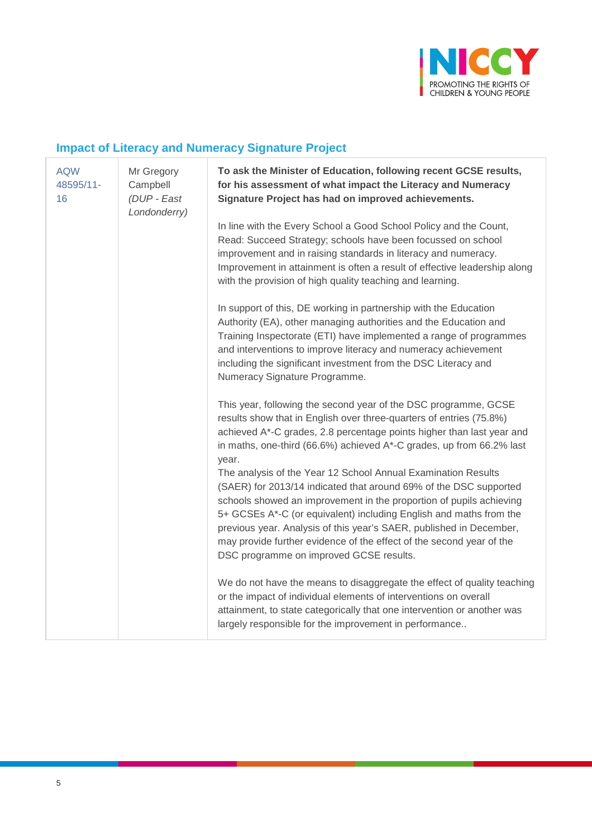

# **Impact of Literacy and Numeracy Signature Project**

| <b>AQW</b><br>48595/11-<br>16 | Mr Gregory<br>Campbell<br>(DUP - East<br>Londonderry) | To ask the Minister of Education, following recent GCSE results,<br>for his assessment of what impact the Literacy and Numeracy<br>Signature Project has had on improved achievements.                                                                                                                                                                                                                                                                                    |
|-------------------------------|-------------------------------------------------------|---------------------------------------------------------------------------------------------------------------------------------------------------------------------------------------------------------------------------------------------------------------------------------------------------------------------------------------------------------------------------------------------------------------------------------------------------------------------------|
|                               |                                                       | In line with the Every School a Good School Policy and the Count,<br>Read: Succeed Strategy; schools have been focussed on school<br>improvement and in raising standards in literacy and numeracy.<br>Improvement in attainment is often a result of effective leadership along<br>with the provision of high quality teaching and learning.                                                                                                                             |
|                               |                                                       | In support of this, DE working in partnership with the Education<br>Authority (EA), other managing authorities and the Education and<br>Training Inspectorate (ETI) have implemented a range of programmes<br>and interventions to improve literacy and numeracy achievement<br>including the significant investment from the DSC Literacy and<br>Numeracy Signature Programme.                                                                                           |
|                               |                                                       | This year, following the second year of the DSC programme, GCSE<br>results show that in English over three-quarters of entries (75.8%)<br>achieved A*-C grades, 2.8 percentage points higher than last year and<br>in maths, one-third (66.6%) achieved A*-C grades, up from 66.2% last<br>year.                                                                                                                                                                          |
|                               |                                                       | The analysis of the Year 12 School Annual Examination Results<br>(SAER) for 2013/14 indicated that around 69% of the DSC supported<br>schools showed an improvement in the proportion of pupils achieving<br>5+ GCSEs A*-C (or equivalent) including English and maths from the<br>previous year. Analysis of this year's SAER, published in December,<br>may provide further evidence of the effect of the second year of the<br>DSC programme on improved GCSE results. |
|                               |                                                       | We do not have the means to disaggregate the effect of quality teaching<br>or the impact of individual elements of interventions on overall<br>attainment, to state categorically that one intervention or another was<br>largely responsible for the improvement in performance                                                                                                                                                                                          |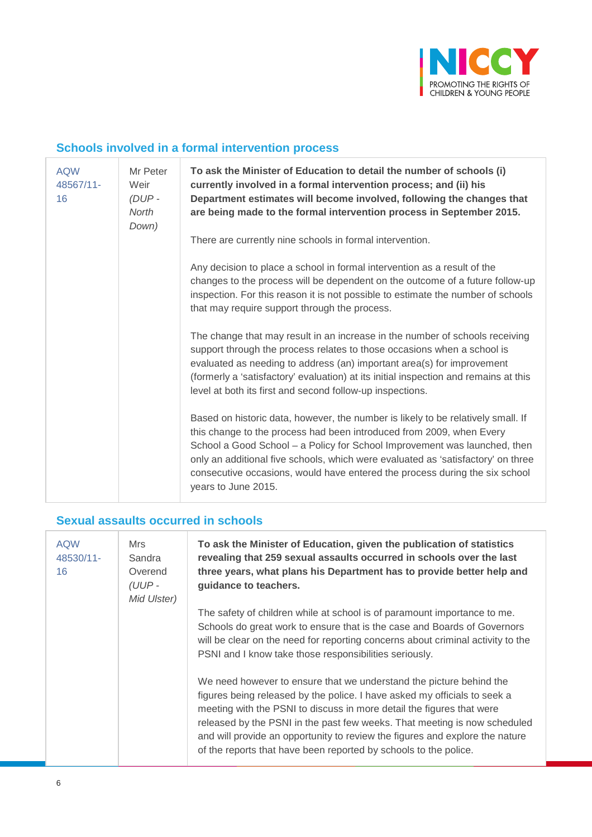

## **Schools involved in a formal intervention process**

| <b>AQW</b><br>48567/11-<br>16 | Mr Peter<br>Weir<br>$(DUP -$<br><b>North</b><br>Down) | To ask the Minister of Education to detail the number of schools (i)<br>currently involved in a formal intervention process; and (ii) his<br>Department estimates will become involved, following the changes that<br>are being made to the formal intervention process in September 2015.                                                                                                                                      |
|-------------------------------|-------------------------------------------------------|---------------------------------------------------------------------------------------------------------------------------------------------------------------------------------------------------------------------------------------------------------------------------------------------------------------------------------------------------------------------------------------------------------------------------------|
|                               |                                                       | There are currently nine schools in formal intervention.                                                                                                                                                                                                                                                                                                                                                                        |
|                               |                                                       | Any decision to place a school in formal intervention as a result of the<br>changes to the process will be dependent on the outcome of a future follow-up<br>inspection. For this reason it is not possible to estimate the number of schools<br>that may require support through the process.                                                                                                                                  |
|                               |                                                       | The change that may result in an increase in the number of schools receiving<br>support through the process relates to those occasions when a school is<br>evaluated as needing to address (an) important area(s) for improvement<br>(formerly a 'satisfactory' evaluation) at its initial inspection and remains at this<br>level at both its first and second follow-up inspections.                                          |
|                               |                                                       | Based on historic data, however, the number is likely to be relatively small. If<br>this change to the process had been introduced from 2009, when Every<br>School a Good School - a Policy for School Improvement was launched, then<br>only an additional five schools, which were evaluated as 'satisfactory' on three<br>consecutive occasions, would have entered the process during the six school<br>years to June 2015. |

## **Sexual assaults occurred in schools**

| <b>AQW</b><br>48530/11-<br>16 | Mrs<br>Sandra<br>Overend<br>$(UUP -$<br>Mid Ulster) | To ask the Minister of Education, given the publication of statistics<br>revealing that 259 sexual assaults occurred in schools over the last<br>three years, what plans his Department has to provide better help and<br>guidance to teachers.                                                                                                                                                                                                            |
|-------------------------------|-----------------------------------------------------|------------------------------------------------------------------------------------------------------------------------------------------------------------------------------------------------------------------------------------------------------------------------------------------------------------------------------------------------------------------------------------------------------------------------------------------------------------|
|                               |                                                     | The safety of children while at school is of paramount importance to me.<br>Schools do great work to ensure that is the case and Boards of Governors<br>will be clear on the need for reporting concerns about criminal activity to the<br>PSNI and I know take those responsibilities seriously.                                                                                                                                                          |
|                               |                                                     | We need however to ensure that we understand the picture behind the<br>figures being released by the police. I have asked my officials to seek a<br>meeting with the PSNI to discuss in more detail the figures that were<br>released by the PSNI in the past few weeks. That meeting is now scheduled<br>and will provide an opportunity to review the figures and explore the nature<br>of the reports that have been reported by schools to the police. |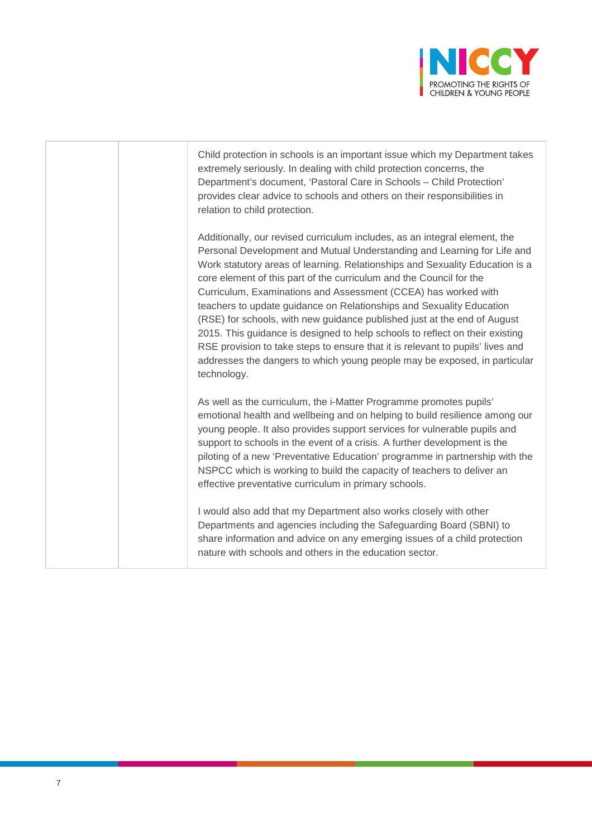

| Child protection in schools is an important issue which my Department takes<br>extremely seriously. In dealing with child protection concerns, the<br>Department's document, 'Pastoral Care in Schools - Child Protection'<br>provides clear advice to schools and others on their responsibilities in<br>relation to child protection.                                                                                                                                                                                                                                                                                                                                                                                                                                                          |
|--------------------------------------------------------------------------------------------------------------------------------------------------------------------------------------------------------------------------------------------------------------------------------------------------------------------------------------------------------------------------------------------------------------------------------------------------------------------------------------------------------------------------------------------------------------------------------------------------------------------------------------------------------------------------------------------------------------------------------------------------------------------------------------------------|
| Additionally, our revised curriculum includes, as an integral element, the<br>Personal Development and Mutual Understanding and Learning for Life and<br>Work statutory areas of learning. Relationships and Sexuality Education is a<br>core element of this part of the curriculum and the Council for the<br>Curriculum, Examinations and Assessment (CCEA) has worked with<br>teachers to update guidance on Relationships and Sexuality Education<br>(RSE) for schools, with new guidance published just at the end of August<br>2015. This guidance is designed to help schools to reflect on their existing<br>RSE provision to take steps to ensure that it is relevant to pupils' lives and<br>addresses the dangers to which young people may be exposed, in particular<br>technology. |
| As well as the curriculum, the i-Matter Programme promotes pupils'<br>emotional health and wellbeing and on helping to build resilience among our<br>young people. It also provides support services for vulnerable pupils and<br>support to schools in the event of a crisis. A further development is the<br>piloting of a new 'Preventative Education' programme in partnership with the<br>NSPCC which is working to build the capacity of teachers to deliver an<br>effective preventative curriculum in primary schools.                                                                                                                                                                                                                                                                   |
| I would also add that my Department also works closely with other<br>Departments and agencies including the Safeguarding Board (SBNI) to<br>share information and advice on any emerging issues of a child protection<br>nature with schools and others in the education sector.                                                                                                                                                                                                                                                                                                                                                                                                                                                                                                                 |